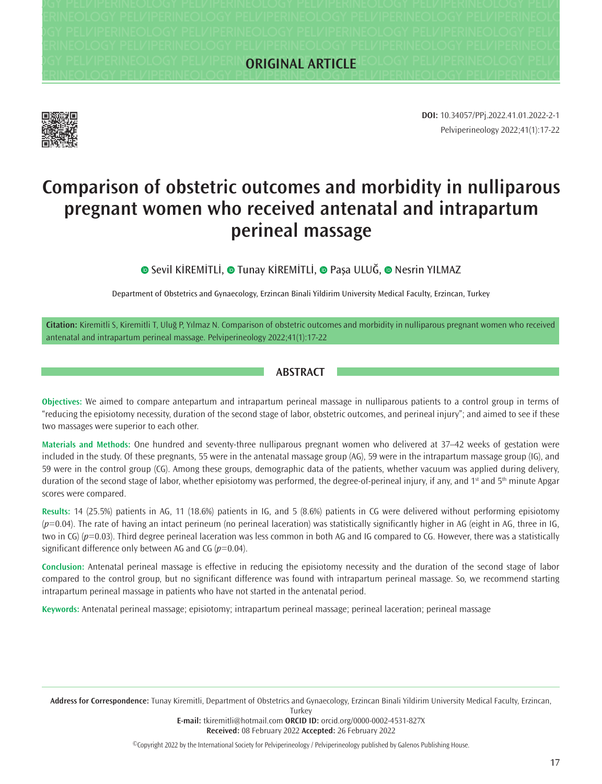**Pelviperineology Pelviperineology Pelviperineology Pelviperineology Pelviperineology Pelviperineology Pelviperineology Pelviperineology Pelviperineology Pelviperineology Pelviperineology Pelviperineology Pelviperineology Pelviperineology Pelviperineology Pelviperineology Pelviperineology Pelviperineology Pelviperineology Pelviperineology Pelviperineology Pelviperineology Pelviperineology Pelviperineology Pelviperineology Pelviperineology Pelviperineology Pelviperineology Pelviperineology Pelviperineology Pelviperineology Pelviperineology Pelviperineology Pelviperineology Pelviperineology Pelviperineology Pelviperineology Pelviperineology Pelviperineology Pelviperineology Pelviperineology Pelviperineology ORIGINAL ARTICLE**



Pelviperineology 2022;41(1):17-22 **DOI:** 10.34057/PPj.2022.41.01.2022-2-1

# **Comparison of obstetric outcomes and morbidity in nulliparous pregnant women who received antenatal and intrapartum perineal massage**

**O**Sevil KİREMİTLİ, **O** Tunay KİREMİTLİ, **O** Paşa ULUĞ, **O** Nesrin YILMAZ

Department of Obstetrics and Gynaecology, Erzincan Binali Yildirim University Medical Faculty, Erzincan, Turkey

**Citation:** Kiremitli S, Kiremitli T, Uluğ P, Yılmaz N. Comparison of obstetric outcomes and morbidity in nulliparous pregnant women who received antenatal and intrapartum perineal massage. Pelviperineology 2022;41(1):17-22

#### **ABSTRACT**

**Objectives:** We aimed to compare antepartum and intrapartum perineal massage in nulliparous patients to a control group in terms of "reducing the episiotomy necessity, duration of the second stage of labor, obstetric outcomes, and perineal injury"; and aimed to see if these two massages were superior to each other.

**Materials and Methods:** One hundred and seventy-three nulliparous pregnant women who delivered at 37–42 weeks of gestation were included in the study. Of these pregnants, 55 were in the antenatal massage group (AG), 59 were in the intrapartum massage group (IG), and 59 were in the control group (CG). Among these groups, demographic data of the patients, whether vacuum was applied during delivery, duration of the second stage of labor, whether episiotomy was performed, the degree-of-perineal injury, if any, and  $1<sup>st</sup>$  and  $5<sup>th</sup>$  minute Apgar scores were compared.

**Results:** 14 (25.5%) patients in AG, 11 (18.6%) patients in IG, and 5 (8.6%) patients in CG were delivered without performing episiotomy (*p*=0.04). The rate of having an intact perineum (no perineal laceration) was statistically significantly higher in AG (eight in AG, three in IG, two in CG) (*p*=0.03). Third degree perineal laceration was less common in both AG and IG compared to CG. However, there was a statistically significant difference only between AG and CG (*p*=0.04).

**Conclusion:** Antenatal perineal massage is effective in reducing the episiotomy necessity and the duration of the second stage of labor compared to the control group, but no significant difference was found with intrapartum perineal massage. So, we recommend starting intrapartum perineal massage in patients who have not started in the antenatal period.

**Keywords:** Antenatal perineal massage; episiotomy; intrapartum perineal massage; perineal laceration; perineal massage

**Address for Correspondence:** Tunay Kiremitli, Department of Obstetrics and Gynaecology, Erzincan Binali Yildirim University Medical Faculty, Erzincan,

**Turkey** 

**E-mail:** tkiremitli@hotmail.com **ORCID ID:** orcid.org/0000-0002-4531-827X **Received:** 08 February 2022 **Accepted:** 26 February 2022

©Copyright 2022 by the International Society for Pelviperineology / Pelviperineology published by Galenos Publishing House.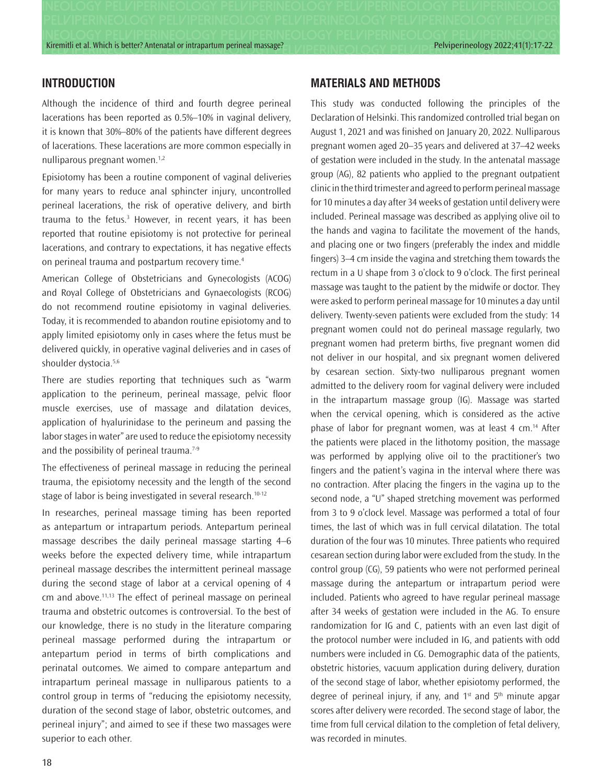Kiremitli et al. Which is better? Antenatal or intrapartum perineal massage?<br>
Pelviperineology 2022;41(1):17-22

### **INTRODUCTION**

Although the incidence of third and fourth degree perineal lacerations has been reported as 0.5%–10% in vaginal delivery, it is known that 30%–80% of the patients have different degrees of lacerations. These lacerations are more common especially in nulliparous pregnant women.<sup>1,2</sup>

Episiotomy has been a routine component of vaginal deliveries for many years to reduce anal sphincter injury, uncontrolled perineal lacerations, the risk of operative delivery, and birth trauma to the fetus.3 However, in recent years, it has been reported that routine episiotomy is not protective for perineal lacerations, and contrary to expectations, it has negative effects on perineal trauma and postpartum recovery time.<sup>4</sup>

American College of Obstetricians and Gynecologists (ACOG) and Royal College of Obstetricians and Gynaecologists (RCOG) do not recommend routine episiotomy in vaginal deliveries. Today, it is recommended to abandon routine episiotomy and to apply limited episiotomy only in cases where the fetus must be delivered quickly, in operative vaginal deliveries and in cases of shoulder dystocia.<sup>5,6</sup>

There are studies reporting that techniques such as "warm application to the perineum, perineal massage, pelvic floor muscle exercises, use of massage and dilatation devices, application of hyalurinidase to the perineum and passing the labor stages in water" are used to reduce the episiotomy necessity and the possibility of perineal trauma.<sup>7-9</sup>

The effectiveness of perineal massage in reducing the perineal trauma, the episiotomy necessity and the length of the second stage of labor is being investigated in several research.<sup>10-12</sup>

In researches, perineal massage timing has been reported as antepartum or intrapartum periods. Antepartum perineal massage describes the daily perineal massage starting 4–6 weeks before the expected delivery time, while intrapartum perineal massage describes the intermittent perineal massage during the second stage of labor at a cervical opening of 4  $cm$  and above.<sup>11,13</sup> The effect of perineal massage on perineal trauma and obstetric outcomes is controversial. To the best of our knowledge, there is no study in the literature comparing perineal massage performed during the intrapartum or antepartum period in terms of birth complications and perinatal outcomes. We aimed to compare antepartum and intrapartum perineal massage in nulliparous patients to a control group in terms of "reducing the episiotomy necessity, duration of the second stage of labor, obstetric outcomes, and perineal injury"; and aimed to see if these two massages were superior to each other.

#### **MATERIALS AND METHODS**

This study was conducted following the principles of the Declaration of Helsinki. This randomized controlled trial began on August 1, 2021 and was finished on January 20, 2022. Nulliparous pregnant women aged 20–35 years and delivered at 37–42 weeks of gestation were included in the study. In the antenatal massage group (AG), 82 patients who applied to the pregnant outpatient clinic in the third trimester and agreed to perform perineal massage for 10 minutes a day after 34 weeks of gestation until delivery were included. Perineal massage was described as applying olive oil to the hands and vagina to facilitate the movement of the hands, and placing one or two fingers (preferably the index and middle fingers) 3–4 cm inside the vagina and stretching them towards the rectum in a U shape from 3 o'clock to 9 o'clock. The first perineal massage was taught to the patient by the midwife or doctor. They were asked to perform perineal massage for 10 minutes a day until delivery. Twenty-seven patients were excluded from the study: 14 pregnant women could not do perineal massage regularly, two pregnant women had preterm births, five pregnant women did not deliver in our hospital, and six pregnant women delivered by cesarean section. Sixty-two nulliparous pregnant women admitted to the delivery room for vaginal delivery were included in the intrapartum massage group (IG). Massage was started when the cervical opening, which is considered as the active phase of labor for pregnant women, was at least 4 cm.14 After the patients were placed in the lithotomy position, the massage was performed by applying olive oil to the practitioner's two fingers and the patient's vagina in the interval where there was no contraction. After placing the fingers in the vagina up to the second node, a "U" shaped stretching movement was performed from 3 to 9 o'clock level. Massage was performed a total of four times, the last of which was in full cervical dilatation. The total duration of the four was 10 minutes. Three patients who required cesarean section during labor were excluded from the study. In the control group (CG), 59 patients who were not performed perineal massage during the antepartum or intrapartum period were included. Patients who agreed to have regular perineal massage after 34 weeks of gestation were included in the AG. To ensure randomization for IG and C, patients with an even last digit of the protocol number were included in IG, and patients with odd numbers were included in CG. Demographic data of the patients, obstetric histories, vacuum application during delivery, duration of the second stage of labor, whether episiotomy performed, the degree of perineal injury, if any, and  $1<sup>st</sup>$  and  $5<sup>th</sup>$  minute apgar scores after delivery were recorded. The second stage of labor, the time from full cervical dilation to the completion of fetal delivery, was recorded in minutes.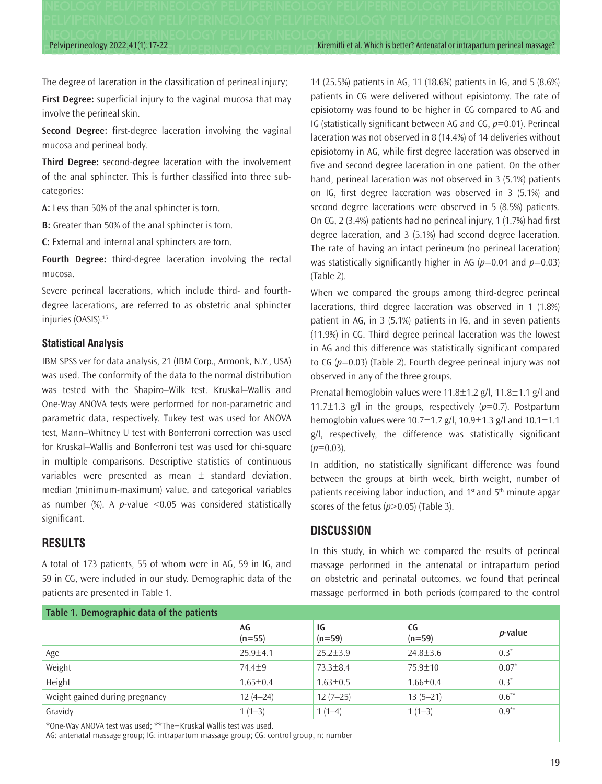Pelviperineology 2022;41(1):17-22 Kiremitli et al. Which is better? Antenatal or intrapartum perineal massage?

The degree of laceration in the classification of perineal injury;

**First Degree:** superficial injury to the vaginal mucosa that may involve the perineal skin.

**Second Degree:** first-degree laceration involving the vaginal mucosa and perineal body.

**Third Degree:** second-degree laceration with the involvement of the anal sphincter. This is further classified into three subcategories:

**A:** Less than 50% of the anal sphincter is torn.

**B:** Greater than 50% of the anal sphincter is torn.

**C:** External and internal anal sphincters are torn.

**Fourth Degree:** third-degree laceration involving the rectal mucosa.

Severe perineal lacerations, which include third- and fourthdegree lacerations, are referred to as obstetric anal sphincter injuries (OASIS).15

#### **Statistical Analysis**

IBM SPSS ver for data analysis, 21 (IBM Corp., Armonk, N.Y., USA) was used. The conformity of the data to the normal distribution was tested with the Shapiro–Wilk test. Kruskal–Wallis and One-Way ANOVA tests were performed for non-parametric and parametric data, respectively. Tukey test was used for ANOVA test, Mann–Whitney U test with Bonferroni correction was used for Kruskal–Wallis and Bonferroni test was used for chi-square in multiple comparisons. Descriptive statistics of continuous variables were presented as mean  $\pm$  standard deviation, median (minimum-maximum) value, and categorical variables as number (%). A *p*-value <0.05 was considered statistically significant.

## **RESULTS**

A total of 173 patients, 55 of whom were in AG, 59 in IG, and 59 in CG, were included in our study. Demographic data of the patients are presented in Table 1.

14 (25.5%) patients in AG, 11 (18.6%) patients in IG, and 5 (8.6%) patients in CG were delivered without episiotomy. The rate of episiotomy was found to be higher in CG compared to AG and IG (statistically significant between AG and CG, *p*=0.01). Perineal laceration was not observed in 8 (14.4%) of 14 deliveries without episiotomy in AG, while first degree laceration was observed in five and second degree laceration in one patient. On the other hand, perineal laceration was not observed in 3 (5.1%) patients on IG, first degree laceration was observed in 3 (5.1%) and second degree lacerations were observed in 5 (8.5%) patients. On CG, 2 (3.4%) patients had no perineal injury, 1 (1.7%) had first degree laceration, and 3 (5.1%) had second degree laceration. The rate of having an intact perineum (no perineal laceration) was statistically significantly higher in AG (*p*=0.04 and *p*=0.03) (Table 2).

When we compared the groups among third-degree perineal lacerations, third degree laceration was observed in 1 (1.8%) patient in AG, in 3 (5.1%) patients in IG, and in seven patients (11.9%) in CG. Third degree perineal laceration was the lowest in AG and this difference was statistically significant compared to CG (*p*=0.03) (Table 2). Fourth degree perineal injury was not observed in any of the three groups.

Prenatal hemoglobin values were 11.8±1.2 g/l, 11.8±1.1 g/l and 11.7 $\pm$ 1.3 g/l in the groups, respectively ( $p$ =0.7). Postpartum hemoglobin values were 10.7±1.7 g/l, 10.9±1.3 g/l and 10.1±1.1 g/l, respectively, the difference was statistically significant  $(p=0.03)$ .

In addition, no statistically significant difference was found between the groups at birth week, birth weight, number of patients receiving labor induction, and  $1<sup>st</sup>$  and  $5<sup>th</sup>$  minute apgar scores of the fetus ( $p$ >0.05) (Table 3).

#### **DISCUSSION**

In this study, in which we compared the results of perineal massage performed in the antenatal or intrapartum period on obstetric and perinatal outcomes, we found that perineal massage performed in both periods (compared to the control

| Table 1. Demographic data of the patients                         |                |                |                |                 |  |  |
|-------------------------------------------------------------------|----------------|----------------|----------------|-----------------|--|--|
|                                                                   | AG<br>$(n=55)$ | IG<br>$(n=59)$ | CG<br>$(n=59)$ | <i>p</i> -value |  |  |
| Age                                                               | $25.9 \pm 4.1$ | $25.2 \pm 3.9$ | $24.8 \pm 3.6$ | $0.3^*$         |  |  |
| Weight                                                            | $74.4 + 9$     | 73.3±8.4       | $75.9 \pm 10$  | $0.07*$         |  |  |
| Height                                                            | $1.65 \pm 0.4$ | $1.63 \pm 0.5$ | $1.66 \pm 0.4$ | $0.3*$          |  |  |
| Weight gained during pregnancy                                    | $12(4-24)$     | $12(7-25)$     | $13(5 - 21)$   | $0.6***$        |  |  |
| Gravidy                                                           | $1(1-3)$       | $1(1-4)$       | $1(1-3)$       | $0.9***$        |  |  |
| *One-Way ANOVA test was used: **The-Kruskal Wallis test was used. |                |                |                |                 |  |  |

\*One-Way ANOVA test was used; \*\*The−Kruskal Wallis test was used.

AG: antenatal massage group; IG: intrapartum massage group; CG: control group; n: number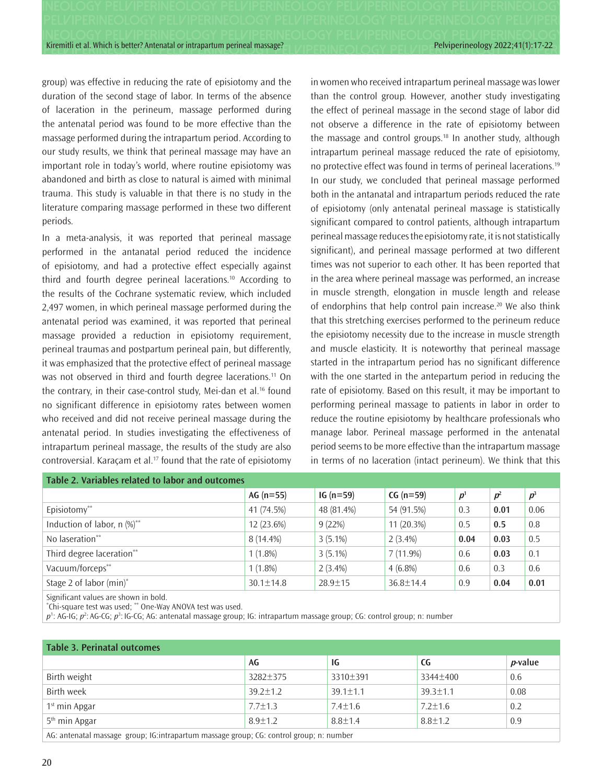Kiremitli et al. Which is better? Antenatal or intrapartum perineal massage? **Perincipal massage?** Pelviperineology 2022;41(1):17-22

group) was effective in reducing the rate of episiotomy and the duration of the second stage of labor. In terms of the absence of laceration in the perineum, massage performed during the antenatal period was found to be more effective than the massage performed during the intrapartum period. According to our study results, we think that perineal massage may have an important role in today's world, where routine episiotomy was abandoned and birth as close to natural is aimed with minimal trauma. This study is valuable in that there is no study in the literature comparing massage performed in these two different periods.

In a meta-analysis, it was reported that perineal massage performed in the antanatal period reduced the incidence of episiotomy, and had a protective effect especially against third and fourth degree perineal lacerations.10 According to the results of the Cochrane systematic review, which included 2,497 women, in which perineal massage performed during the antenatal period was examined, it was reported that perineal massage provided a reduction in episiotomy requirement, perineal traumas and postpartum perineal pain, but differently, it was emphasized that the protective effect of perineal massage was not observed in third and fourth degree lacerations.<sup>11</sup> On the contrary, in their case-control study, Mei-dan et al.<sup>16</sup> found no significant difference in episiotomy rates between women who received and did not receive perineal massage during the antenatal period. In studies investigating the effectiveness of intrapartum perineal massage, the results of the study are also controversial. Karaçam et al.<sup>17</sup> found that the rate of episiotomy in women who received intrapartum perineal massage was lower than the control group. However, another study investigating the effect of perineal massage in the second stage of labor did not observe a difference in the rate of episiotomy between the massage and control groups.18 In another study, although intrapartum perineal massage reduced the rate of episiotomy, no protective effect was found in terms of perineal lacerations.<sup>19</sup> In our study, we concluded that perineal massage performed both in the antanatal and intrapartum periods reduced the rate of episiotomy (only antenatal perineal massage is statistically significant compared to control patients, although intrapartum perineal massage reduces the episiotomy rate, it is not statistically significant), and perineal massage performed at two different times was not superior to each other. It has been reported that in the area where perineal massage was performed, an increase in muscle strength, elongation in muscle length and release of endorphins that help control pain increase.<sup>20</sup> We also think that this stretching exercises performed to the perineum reduce the episiotomy necessity due to the increase in muscle strength and muscle elasticity. It is noteworthy that perineal massage started in the intrapartum period has no significant difference with the one started in the antepartum period in reducing the rate of episiotomy. Based on this result, it may be important to performing perineal massage to patients in labor in order to reduce the routine episiotomy by healthcare professionals who manage labor. Perineal massage performed in the antenatal period seems to be more effective than the intrapartum massage in terms of no laceration (intact perineum). We think that this

| Table 2. Variables related to labor and outcomes |                 |               |                 |         |                |       |  |  |
|--------------------------------------------------|-----------------|---------------|-----------------|---------|----------------|-------|--|--|
|                                                  | AG $(n=55)$     | $IG (n=59)$   | $CG (n=59)$     | $p^{1}$ | p <sup>2</sup> | $p^3$ |  |  |
| Episiotomy**                                     | 41 (74.5%)      | 48 (81.4%)    | 54 (91.5%)      | 0.3     | 0.01           | 0.06  |  |  |
| Induction of labor, $n$ (%) <sup>**</sup>        | 12 (23.6%)      | 9(22%)        | 11 (20.3%)      | 0.5     | 0.5            | 0.8   |  |  |
| No laseration**                                  | 8 (14.4%)       | $3(5.1\%)$    | $2(3.4\%)$      | 0.04    | 0.03           | 0.5   |  |  |
| Third degree laceration**                        | $1(1.8\%)$      | $3(5.1\%)$    | $7(11.9\%)$     | 0.6     | 0.03           | 0.1   |  |  |
| Vacuum/forceps**                                 | $1(1.8\%)$      | $2(3.4\%)$    | $4(6.8\%)$      | 0.6     | 0.3            | 0.6   |  |  |
| Stage 2 of labor (min)*                          | $30.1 \pm 14.8$ | $28.9 \pm 15$ | $36.8 \pm 14.4$ | 0.9     | 0.04           | 0.01  |  |  |
|                                                  |                 |               |                 |         |                |       |  |  |

Significant values are shown in bold.

\* Chi-square test was used; \*\* One-Way ANOVA test was used.

*p*<sup>1</sup>: AG-IG; *p*<sup>2</sup>: AG-CG; *p*<sup>3</sup>: IG-CG; AG: antenatal massage group; IG: intrapartum massage group; CG: control group; n: number

| <b>Table 3. Perinatal outcomes</b>                                                      |                |                |                |                 |  |  |  |
|-----------------------------------------------------------------------------------------|----------------|----------------|----------------|-----------------|--|--|--|
|                                                                                         | AG             | 1G             | CG             | <i>p</i> -value |  |  |  |
| Birth weight                                                                            | 3282±375       | 3310±391       | 3344±400       | 0.6             |  |  |  |
| Birth week                                                                              | $39.2 \pm 1.2$ | $39.1 \pm 1.1$ | $39.3 \pm 1.1$ | 0.08            |  |  |  |
| $1st$ min Apgar                                                                         | $7.7 \pm 1.3$  | $7.4 \pm 1.6$  | $7.2 \pm 1.6$  | 0.2             |  |  |  |
| 5 <sup>th</sup> min Apgar                                                               | $8.9 + 1.2$    | $8.8 \pm 1.4$  | $8.8 \pm 1.2$  | 0.9             |  |  |  |
| AG: antenatal massage group; IG:intrapartum massage group; CG: control group; n: number |                |                |                |                 |  |  |  |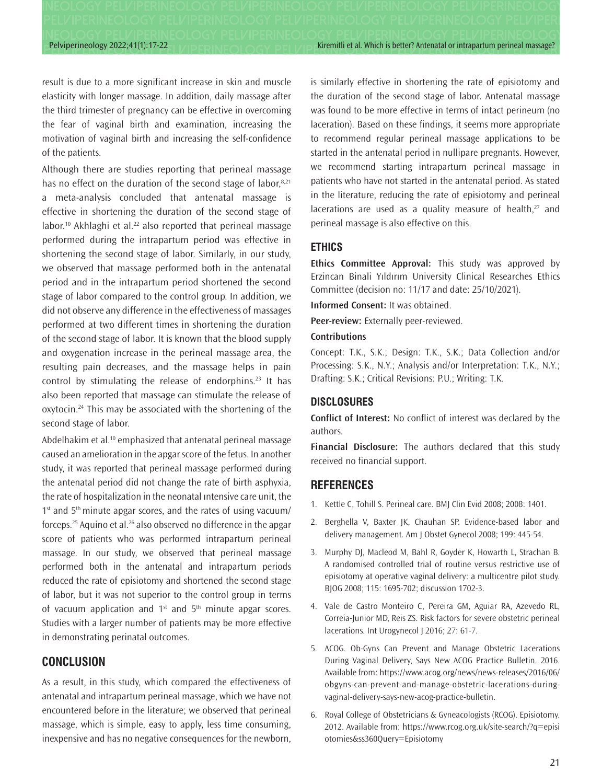Pelviperineology 2022;41(1):17-22 Kiremitli et al. Which is better? Antenatal or intrapartum perineal massage?

result is due to a more significant increase in skin and muscle elasticity with longer massage. In addition, daily massage after the third trimester of pregnancy can be effective in overcoming the fear of vaginal birth and examination, increasing the motivation of vaginal birth and increasing the self-confidence of the patients.

Although there are studies reporting that perineal massage has no effect on the duration of the second stage of labor,<sup>8,21</sup> a meta-analysis concluded that antenatal massage is effective in shortening the duration of the second stage of labor.<sup>10</sup> Akhlaghi et al.<sup>22</sup> also reported that perineal massage performed during the intrapartum period was effective in shortening the second stage of labor. Similarly, in our study, we observed that massage performed both in the antenatal period and in the intrapartum period shortened the second stage of labor compared to the control group. In addition, we did not observe any difference in the effectiveness of massages performed at two different times in shortening the duration of the second stage of labor. It is known that the blood supply and oxygenation increase in the perineal massage area, the resulting pain decreases, and the massage helps in pain control by stimulating the release of endorphins.<sup>23</sup> It has also been reported that massage can stimulate the release of oxytocin.<sup>24</sup> This may be associated with the shortening of the second stage of labor.

Abdelhakim et al.<sup>10</sup> emphasized that antenatal perineal massage caused an amelioration in the apgar score of the fetus. In another study, it was reported that perineal massage performed during the antenatal period did not change the rate of birth asphyxia, the rate of hospitalization in the neonatal ıntensive care unit, the 1<sup>st</sup> and 5<sup>th</sup> minute apgar scores, and the rates of using vacuum/ forceps.<sup>25</sup> Aquino et al.<sup>26</sup> also observed no difference in the apgar score of patients who was performed intrapartum perineal massage. In our study, we observed that perineal massage performed both in the antenatal and intrapartum periods reduced the rate of episiotomy and shortened the second stage of labor, but it was not superior to the control group in terms of vacuum application and  $1<sup>st</sup>$  and  $5<sup>th</sup>$  minute apgar scores. Studies with a larger number of patients may be more effective in demonstrating perinatal outcomes.

#### **CONCLUSION**

As a result, in this study, which compared the effectiveness of antenatal and intrapartum perineal massage, which we have not encountered before in the literature; we observed that perineal massage, which is simple, easy to apply, less time consuming, inexpensive and has no negative consequences for the newborn,

is similarly effective in shortening the rate of episiotomy and the duration of the second stage of labor. Antenatal massage was found to be more effective in terms of intact perineum (no laceration). Based on these findings, it seems more appropriate to recommend regular perineal massage applications to be started in the antenatal period in nullipare pregnants. However, we recommend starting intrapartum perineal massage in patients who have not started in the antenatal period. As stated in the literature, reducing the rate of episiotomy and perineal lacerations are used as a quality measure of health, $27$  and perineal massage is also effective on this.

#### **ETHICS**

**Ethics Committee Approval:** This study was approved by Erzincan Binali Yıldırım University Clinical Researches Ethics Committee (decision no: 11/17 and date: 25/10/2021).

**Informed Consent:** It was obtained.

**Peer-review:** Externally peer-reviewed.

#### **Contributions**

Concept: T.K., S.K.; Design: T.K., S.K.; Data Collection and/or Processing: S.K., N.Y.; Analysis and/or Interpretation: T.K., N.Y.; Drafting: S.K.; Critical Revisions: P.U.; Writing: T.K.

#### **DISCLOSURES**

**Conflict of Interest:** No conflict of interest was declared by the authors.

**Financial Disclosure:** The authors declared that this study received no financial support.

#### **REFERENCES**

- 1. Kettle C, Tohill S. Perineal care. BMJ Clin Evid 2008; 2008: 1401.
- 2. Berghella V, Baxter JK, Chauhan SP. Evidence-based labor and delivery management. Am J Obstet Gynecol 2008; 199: 445-54.
- 3. Murphy DJ, Macleod M, Bahl R, Goyder K, Howarth L, Strachan B. A randomised controlled trial of routine versus restrictive use of episiotomy at operative vaginal delivery: a multicentre pilot study. BJOG 2008; 115: 1695-702; discussion 1702-3.
- 4. Vale de Castro Monteiro C, Pereira GM, Aguiar RA, Azevedo RL, Correia-Junior MD, Reis ZS. Risk factors for severe obstetric perineal lacerations. Int Urogynecol J 2016; 27: 61-7.
- 5. ACOG. Ob-Gyns Can Prevent and Manage Obstetric Lacerations During Vaginal Delivery, Says New ACOG Practice Bulletin. 2016. Available from: https://www.acog.org/news/news-releases/2016/06/ obgyns-can-prevent-and-manage-obstetric-lacerations-duringvaginal-delivery-says-new-acog-practice-bulletin.
- 6. Royal College of Obstetricians & Gyneacologists (RCOG). Episiotomy. 2012. Available from: https://www.rcog.org.uk/site-search/?q=episi otomies&ss360Query=Episiotomy